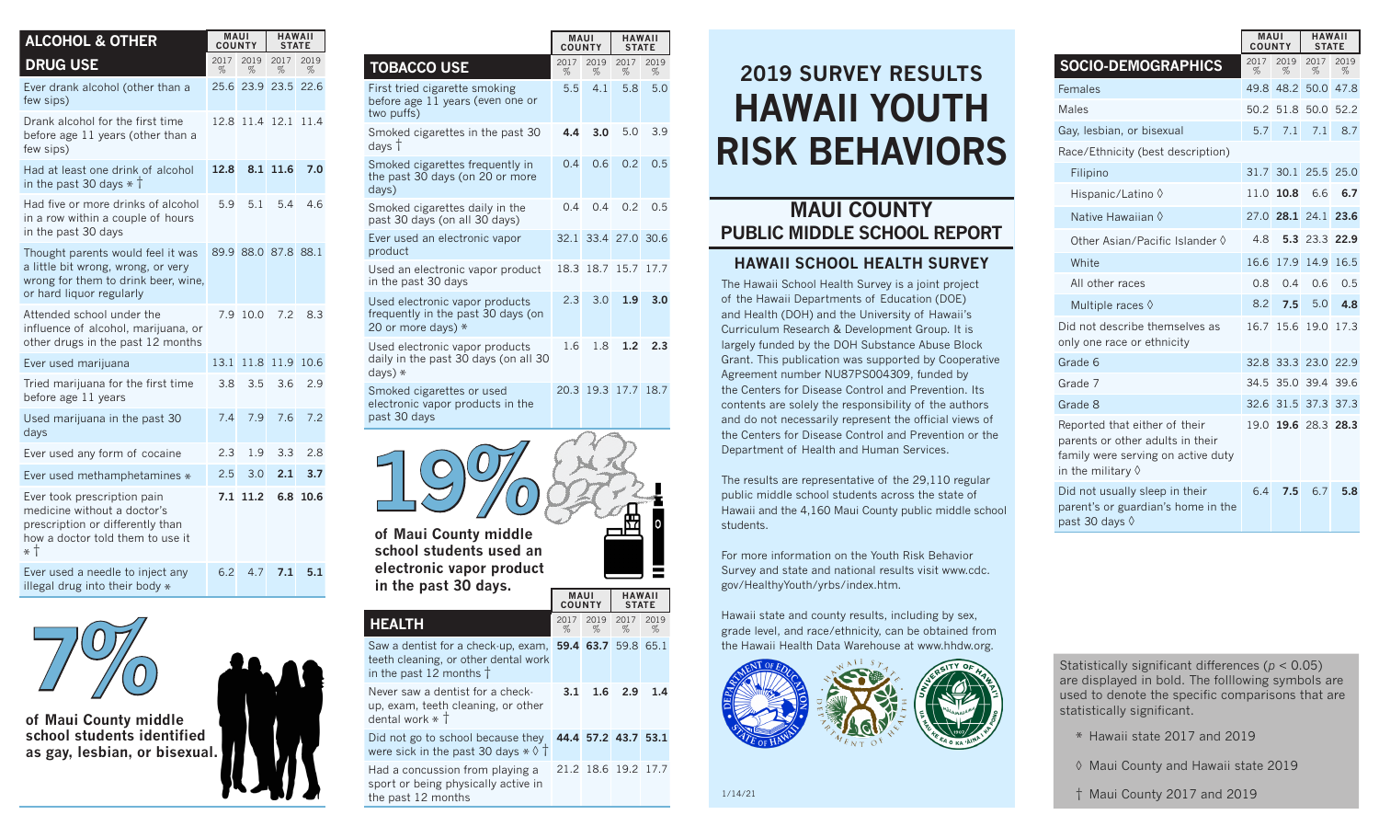| <b>ALCOHOL &amp; OTHER</b>                                                                                                                 | <b>MAUI</b><br><b>COUNTY</b> |           | <b>HAWAII</b><br><b>STATE</b> |           |  |
|--------------------------------------------------------------------------------------------------------------------------------------------|------------------------------|-----------|-------------------------------|-----------|--|
| <b>DRUG USE</b>                                                                                                                            | 2017<br>%                    | 2019<br>% | 2017<br>%                     | 2019<br>% |  |
| Ever drank alcohol (other than a<br>few sips)                                                                                              | 25.6                         | 23.9      | 23.5                          | 22.6      |  |
| Drank alcohol for the first time<br>before age 11 years (other than a<br>few sips)                                                         | 12.8                         | 11.4      | 12.1                          | 11.4      |  |
| Had at least one drink of alcohol<br>in the past 30 days $*$ T                                                                             | 12.8                         |           | 8.1 11.6                      | 7.0       |  |
| Had five or more drinks of alcohol<br>in a row within a couple of hours<br>in the past 30 days                                             | 5.9                          | 5.1       | 5.4                           | 4.6       |  |
| Thought parents would feel it was<br>a little bit wrong, wrong, or very<br>wrong for them to drink beer, wine,<br>or hard liquor regularly |                              |           | 89.9 88.0 87.8 88.1           |           |  |
| Attended school under the<br>influence of alcohol, marijuana, or<br>other drugs in the past 12 months                                      | 79                           | 10.0      | 7.2                           | 8.3       |  |
| Ever used marijuana                                                                                                                        | 13.1                         | 11.8      | 11.9                          | 10.6      |  |
| Tried marijuana for the first time<br>before age 11 years                                                                                  | 3.8                          | 3.5       | 3.6                           | 2.9       |  |
| Used marijuana in the past 30<br>days                                                                                                      | 7.4                          | 7.9       | 7.6                           | 7.2       |  |
| Ever used any form of cocaine                                                                                                              | 2.3                          | 1.9       | 3.3                           | 2.8       |  |
| Ever used methamphetamines *                                                                                                               | 2.5                          | 3.0       | 2.1                           | 3.7       |  |
| Ever took prescription pain<br>medicine without a doctor's<br>prescription or differently than<br>how a doctor told them to use it<br>* †  | 7.1                          | 11.2      | 6.8                           | 10.6      |  |
| Ever used a needle to inject any<br>illegal drug into their body *                                                                         | 6.2                          | 4.7       | 7.1                           | 5.1       |  |



**of Maui County middle school students identified as gay, lesbian, or bisexual.** 

|                                                                                                                                    | <b>MAUI</b><br><b>COUNTY</b> |           | <b>HAWAII</b><br><b>STATE</b> |                     |
|------------------------------------------------------------------------------------------------------------------------------------|------------------------------|-----------|-------------------------------|---------------------|
| <b>TOBACCO USE</b>                                                                                                                 | 2017<br>%                    | 2019<br>% | 2017<br>%                     | 2019<br>%           |
| First tried cigarette smoking<br>before age 11 years (even one or<br>two puffs)                                                    | 5.5                          | 4.1       | 5.8                           | 5.0                 |
| Smoked cigarettes in the past 30<br>days †                                                                                         | 4.4                          | 3.0       | 5.0                           | 3.9                 |
| Smoked cigarettes frequently in<br>the past 30 days (on 20 or more<br>days)                                                        | 0.4                          | 0.6       | 0.2                           | 0.5                 |
| Smoked cigarettes daily in the<br>past 30 days (on all 30 days)                                                                    | 0.4                          | 0.4       | 0.2                           | 0.5                 |
| Ever used an electronic vapor<br>product                                                                                           | 32.1                         |           | 33.4 27.0                     | 30.6                |
| Used an electronic vapor product<br>in the past 30 days                                                                            | 18.3                         | 18.7      | 15.7                          | 17.7                |
| Used electronic vapor products<br>frequently in the past 30 days (on<br>20 or more days) *                                         | 2.3                          | 3.0       | 1.9                           | 3.0                 |
| Used electronic vapor products<br>daily in the past 30 days (on all 30<br>days) *                                                  | 1.6                          | 1.8       | 1.2                           | 2.3                 |
| Smoked cigarettes or used<br>electronic vapor products in the<br>past 30 days                                                      |                              |           | 20.3 19.3 17.7                | 18.7                |
| of Maui County middle<br>school students used an<br>electronic vapor product<br>in the past 30 days.                               | <b>MAUI</b><br><b>COUNTY</b> |           | <b>HAWAII</b>                 |                     |
| <b>HEALTH</b>                                                                                                                      | 2017<br>%                    | 2019<br>% | <b>STATE</b><br>2017<br>%     | 2019<br>%           |
| Saw a dentist for a check-up, exam, 59.4 63.7 59.8 65.1<br>teeth cleaning, or other dental work<br>in the past 12 months $\dagger$ |                              |           |                               |                     |
| Never saw a dentist for a check-<br>up, exam, teeth cleaning, or other<br>dental work $\ast$ $\dagger$                             | 3.1                          | 1.6       | 2.9                           | 1.4                 |
| Did not go to school because they<br>were sick in the past 30 days $\ast \Diamond \dagger$                                         |                              |           |                               | 44.4 57.2 43.7 53.1 |
| لمطا                                                                                                                               |                              |           |                               |                     |

Had a concussion from playing a 21.2 18.6 19.2 17.7 sport or being physically active in the past 12 months

# **HAWAII YOUTH RISK BEHAVIORS 2019 SURVEY RESULTS**

### **MAUI COUNTY PUBLIC MIDDLE SCHOOL REPORT**

#### **HAWAII SCHOOL HEALTH SURVEY**

The Hawaii School Health Survey is a joint project of the Hawaii Departments of Education (DOE) and Health (DOH) and the University of Hawaii's Curriculum Research & Development Group. It is largely funded by the DOH Substance Abuse Block Grant. This publication was supported by Cooperative Agreement number NU87PS004309, funded by the Centers for Disease Control and Prevention. Its contents are solely the responsibility of the authors and do not necessarily represent the official views of the Centers for Disease Control and Prevention or the Department of Health and Human Services.

The results are representative of the 29,110 regular public middle school students across the state of Hawaii and the 4,160 Maui County public middle school students.

For more information on the Youth Risk Behavior Survey and state and national results visit www.cdc. gov/HealthyYouth/yrbs/index.htm.

Hawaii state and county results, including by sex, grade level, and race/ethnicity, can be obtained from the Hawaii Health Data Warehouse at www.hhdw.org.



1/14/21

| <b>MAUI</b><br>COUNTY                                                                                                                 |           |                | <b>HAWAII</b><br><b>STATE</b> |           |  |
|---------------------------------------------------------------------------------------------------------------------------------------|-----------|----------------|-------------------------------|-----------|--|
| <b>SOCIO-DEMOGRAPHICS</b>                                                                                                             | 2017<br>% | 2019<br>%      | 2017<br>%                     | 2019<br>% |  |
| Females                                                                                                                               | 49.8      | 48.2           | 50.0                          | 47.8      |  |
| Males                                                                                                                                 | 50.2      | 51.8           | 50.0                          | 52.2      |  |
| Gay, lesbian, or bisexual                                                                                                             | 5.7       | 7.1            | 7.1                           | 8.7       |  |
| Race/Ethnicity (best description)                                                                                                     |           |                |                               |           |  |
| Filipino                                                                                                                              | 31.7      | 30.1           | 25.5                          | 25.0      |  |
| Hispanic/Latino ♦                                                                                                                     | 11.0      | 10.8           | 6.6                           | 6.7       |  |
| Native Hawaiian 0                                                                                                                     |           | 27.0 28.1      | 24.1                          | 23.6      |  |
| Other Asian/Pacific Islander $\Diamond$                                                                                               | 4.8       |                | 5.3 23.3                      | 22.9      |  |
| White                                                                                                                                 | 16.6      | 17.9           | 14.9                          | 16.5      |  |
| All other races                                                                                                                       | 0.8       | 0.4            | 0.6                           | 0.5       |  |
| Multiple races $\Diamond$                                                                                                             | 8.2       | 7.5            | 5.0                           | 4.8       |  |
| Did not describe themselves as<br>only one race or ethnicity                                                                          | 16.7      | 15.6           | 19.0                          | 17.3      |  |
| Grade 6                                                                                                                               | 32.8      |                | 33.3 23.0                     | 22.9      |  |
| Grade 7                                                                                                                               |           | 34.5 35.0 39.4 |                               | 39.6      |  |
| Grade 8                                                                                                                               |           | 32.6 31.5 37.3 |                               | 37.3      |  |
| Reported that either of their<br>parents or other adults in their<br>family were serving on active duty<br>in the military $\Diamond$ | 19.0      |                | 19.6 28.3 28.3                |           |  |
| Did not usually sleep in their<br>parent's or guardian's home in the<br>past 30 days ◊                                                | 6.4       | 7.5            | 6.7                           | 5.8       |  |

Statistically significant differences (*p* < 0.05) are displayed in bold. The folllowing symbols are used to denote the specific comparisons that are statistically significant.

- \* Hawaii state 2017 and 2019
- ◊ Maui County and Hawaii state 2019
- † Maui County 2017 and 2019